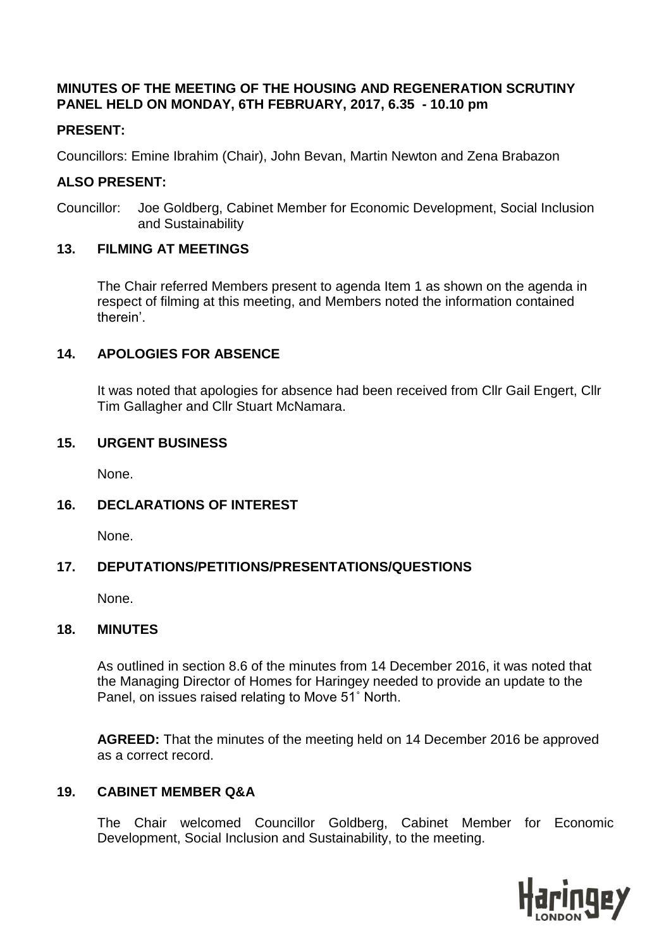### **MINUTES OF THE MEETING OF THE HOUSING AND REGENERATION SCRUTINY PANEL HELD ON MONDAY, 6TH FEBRUARY, 2017, 6.35 - 10.10 pm**

## **PRESENT:**

Councillors: Emine Ibrahim (Chair), John Bevan, Martin Newton and Zena Brabazon

### **ALSO PRESENT:**

Councillor: Joe Goldberg, Cabinet Member for Economic Development, Social Inclusion and Sustainability

## **13. FILMING AT MEETINGS**

The Chair referred Members present to agenda Item 1 as shown on the agenda in respect of filming at this meeting, and Members noted the information contained therein'.

## **14. APOLOGIES FOR ABSENCE**

It was noted that apologies for absence had been received from Cllr Gail Engert, Cllr Tim Gallagher and Cllr Stuart McNamara.

## **15. URGENT BUSINESS**

None.

## **16. DECLARATIONS OF INTEREST**

None.

## **17. DEPUTATIONS/PETITIONS/PRESENTATIONS/QUESTIONS**

None.

### **18. MINUTES**

As outlined in section 8.6 of the minutes from 14 December 2016, it was noted that the Managing Director of Homes for Haringey needed to provide an update to the Panel, on issues raised relating to Move 51˚ North.

**AGREED:** That the minutes of the meeting held on 14 December 2016 be approved as a correct record.

### **19. CABINET MEMBER Q&A**

The Chair welcomed Councillor Goldberg, Cabinet Member for Economic Development, Social Inclusion and Sustainability, to the meeting.

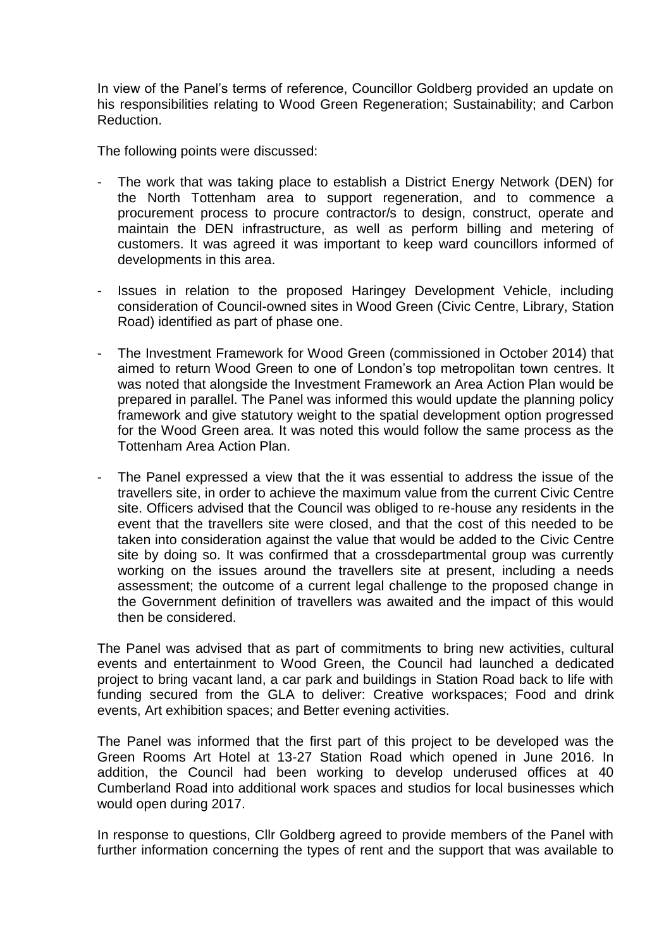In view of the Panel's terms of reference, Councillor Goldberg provided an update on his responsibilities relating to Wood Green Regeneration; Sustainability; and Carbon Reduction.

The following points were discussed:

- The work that was taking place to establish a District Energy Network (DEN) for the North Tottenham area to support regeneration, and to commence a procurement process to procure contractor/s to design, construct, operate and maintain the DEN infrastructure, as well as perform billing and metering of customers. It was agreed it was important to keep ward councillors informed of developments in this area.
- Issues in relation to the proposed Haringey Development Vehicle, including consideration of Council-owned sites in Wood Green (Civic Centre, Library, Station Road) identified as part of phase one.
- The Investment Framework for Wood Green (commissioned in October 2014) that aimed to return Wood Green to one of London's top metropolitan town centres. It was noted that alongside the Investment Framework an Area Action Plan would be prepared in parallel. The Panel was informed this would update the planning policy framework and give statutory weight to the spatial development option progressed for the Wood Green area. It was noted this would follow the same process as the Tottenham Area Action Plan.
- The Panel expressed a view that the it was essential to address the issue of the travellers site, in order to achieve the maximum value from the current Civic Centre site. Officers advised that the Council was obliged to re-house any residents in the event that the travellers site were closed, and that the cost of this needed to be taken into consideration against the value that would be added to the Civic Centre site by doing so. It was confirmed that a crossdepartmental group was currently working on the issues around the travellers site at present, including a needs assessment; the outcome of a current legal challenge to the proposed change in the Government definition of travellers was awaited and the impact of this would then be considered.

The Panel was advised that as part of commitments to bring new activities, cultural events and entertainment to Wood Green, the Council had launched a dedicated project to bring vacant land, a car park and buildings in Station Road back to life with funding secured from the GLA to deliver: Creative workspaces; Food and drink events, Art exhibition spaces; and Better evening activities.

The Panel was informed that the first part of this project to be developed was the Green Rooms Art Hotel at 13-27 Station Road which opened in June 2016. In addition, the Council had been working to develop underused offices at 40 Cumberland Road into additional work spaces and studios for local businesses which would open during 2017.

In response to questions, Cllr Goldberg agreed to provide members of the Panel with further information concerning the types of rent and the support that was available to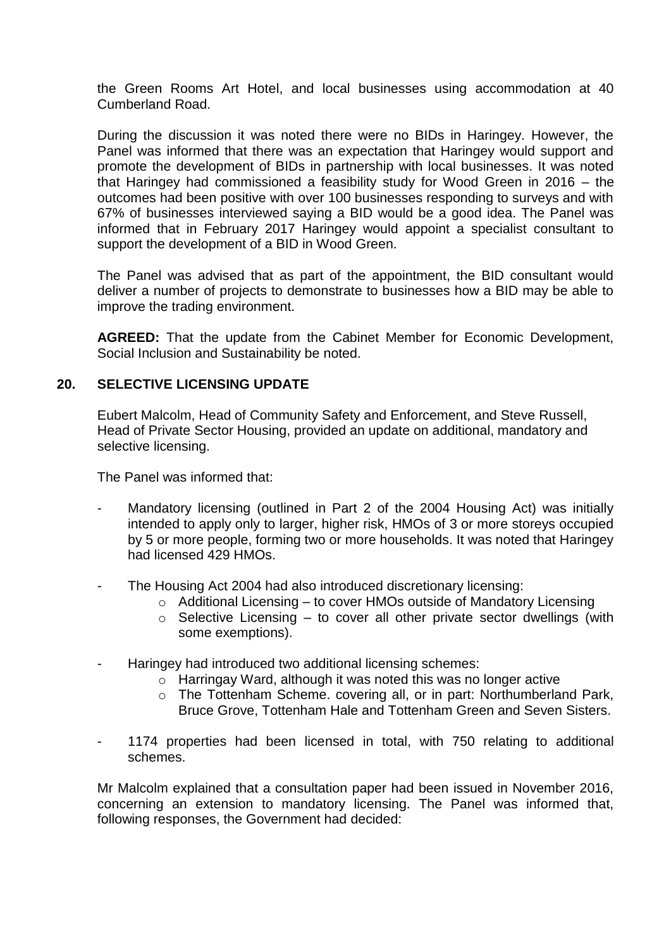the Green Rooms Art Hotel, and local businesses using accommodation at 40 Cumberland Road.

During the discussion it was noted there were no BIDs in Haringey. However, the Panel was informed that there was an expectation that Haringey would support and promote the development of BIDs in partnership with local businesses. It was noted that Haringey had commissioned a feasibility study for Wood Green in 2016 – the outcomes had been positive with over 100 businesses responding to surveys and with 67% of businesses interviewed saying a BID would be a good idea. The Panel was informed that in February 2017 Haringey would appoint a specialist consultant to support the development of a BID in Wood Green.

The Panel was advised that as part of the appointment, the BID consultant would deliver a number of projects to demonstrate to businesses how a BID may be able to improve the trading environment.

**AGREED:** That the update from the Cabinet Member for Economic Development, Social Inclusion and Sustainability be noted.

#### **20. SELECTIVE LICENSING UPDATE**

Eubert Malcolm, Head of Community Safety and Enforcement, and Steve Russell, Head of Private Sector Housing, provided an update on additional, mandatory and selective licensing.

The Panel was informed that:

- Mandatory licensing (outlined in Part 2 of the 2004 Housing Act) was initially intended to apply only to larger, higher risk, HMOs of 3 or more storeys occupied by 5 or more people, forming two or more households. It was noted that Haringey had licensed 429 HMOs.
- The Housing Act 2004 had also introduced discretionary licensing:
	- o Additional Licensing to cover HMOs outside of Mandatory Licensing
	- $\circ$  Selective Licensing to cover all other private sector dwellings (with some exemptions).
- Haringey had introduced two additional licensing schemes:
	- o Harringay Ward, although it was noted this was no longer active
	- o The Tottenham Scheme. covering all, or in part: Northumberland Park, Bruce Grove, Tottenham Hale and Tottenham Green and Seven Sisters.
- 1174 properties had been licensed in total, with 750 relating to additional schemes.

Mr Malcolm explained that a consultation paper had been issued in November 2016, concerning an extension to mandatory licensing. The Panel was informed that, following responses, the Government had decided: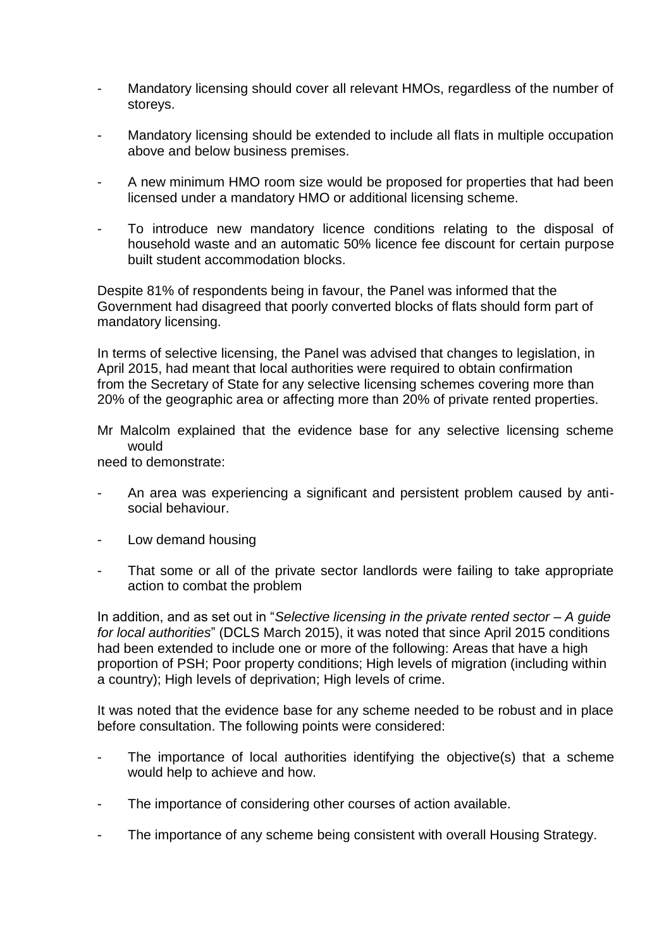- Mandatory licensing should cover all relevant HMOs, regardless of the number of storeys.
- Mandatory licensing should be extended to include all flats in multiple occupation above and below business premises.
- A new minimum HMO room size would be proposed for properties that had been licensed under a mandatory HMO or additional licensing scheme.
- To introduce new mandatory licence conditions relating to the disposal of household waste and an automatic 50% licence fee discount for certain purpose built student accommodation blocks.

Despite 81% of respondents being in favour, the Panel was informed that the Government had disagreed that poorly converted blocks of flats should form part of mandatory licensing.

In terms of selective licensing, the Panel was advised that changes to legislation, in April 2015, had meant that local authorities were required to obtain confirmation from the Secretary of State for any selective licensing schemes covering more than 20% of the geographic area or affecting more than 20% of private rented properties.

Mr Malcolm explained that the evidence base for any selective licensing scheme would

need to demonstrate:

- An area was experiencing a significant and persistent problem caused by antisocial behaviour.
- Low demand housing
- That some or all of the private sector landlords were failing to take appropriate action to combat the problem

In addition, and as set out in "*Selective licensing in the private rented sector – A guide for local authorities*" (DCLS March 2015), it was noted that since April 2015 conditions had been extended to include one or more of the following: Areas that have a high proportion of PSH; Poor property conditions; High levels of migration (including within a country); High levels of deprivation; High levels of crime.

It was noted that the evidence base for any scheme needed to be robust and in place before consultation. The following points were considered:

- The importance of local authorities identifying the objective(s) that a scheme would help to achieve and how.
- The importance of considering other courses of action available.
- The importance of any scheme being consistent with overall Housing Strategy.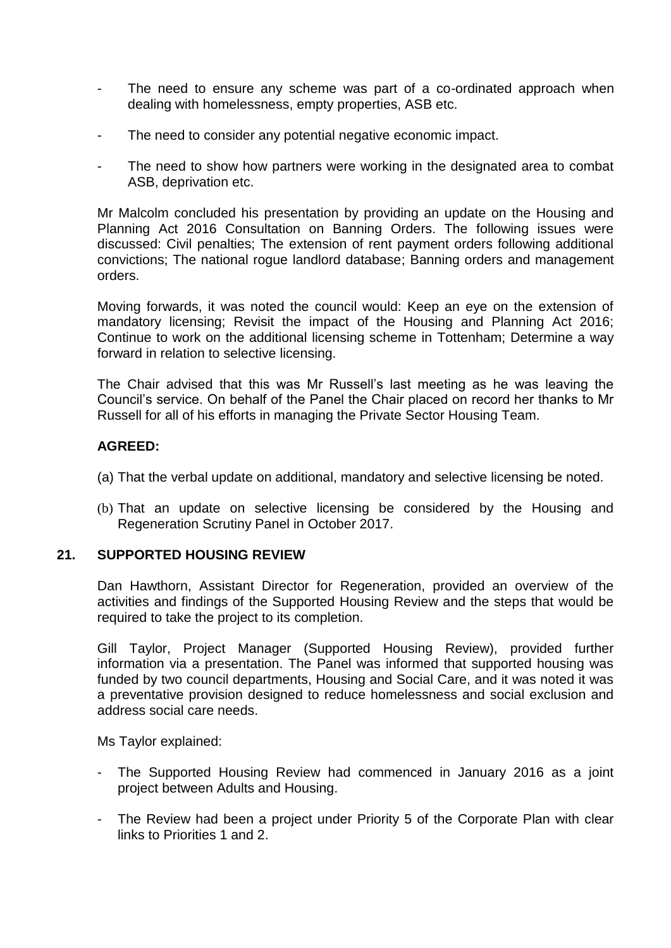- The need to ensure any scheme was part of a co-ordinated approach when dealing with homelessness, empty properties, ASB etc.
- The need to consider any potential negative economic impact.
- The need to show how partners were working in the designated area to combat ASB, deprivation etc.

Mr Malcolm concluded his presentation by providing an update on the Housing and Planning Act 2016 Consultation on Banning Orders. The following issues were discussed: Civil penalties; The extension of rent payment orders following additional convictions; The national rogue landlord database; Banning orders and management orders.

Moving forwards, it was noted the council would: Keep an eye on the extension of mandatory licensing; Revisit the impact of the Housing and Planning Act 2016; Continue to work on the additional licensing scheme in Tottenham; Determine a way forward in relation to selective licensing.

The Chair advised that this was Mr Russell's last meeting as he was leaving the Council's service. On behalf of the Panel the Chair placed on record her thanks to Mr Russell for all of his efforts in managing the Private Sector Housing Team.

### **AGREED:**

- (a) That the verbal update on additional, mandatory and selective licensing be noted.
- (b) That an update on selective licensing be considered by the Housing and Regeneration Scrutiny Panel in October 2017.

#### **21. SUPPORTED HOUSING REVIEW**

Dan Hawthorn, Assistant Director for Regeneration, provided an overview of the activities and findings of the Supported Housing Review and the steps that would be required to take the project to its completion.

Gill Taylor, Project Manager (Supported Housing Review), provided further information via a presentation. The Panel was informed that supported housing was funded by two council departments, Housing and Social Care, and it was noted it was a preventative provision designed to reduce homelessness and social exclusion and address social care needs.

Ms Taylor explained:

- The Supported Housing Review had commenced in January 2016 as a joint project between Adults and Housing.
- The Review had been a project under Priority 5 of the Corporate Plan with clear links to Priorities 1 and 2.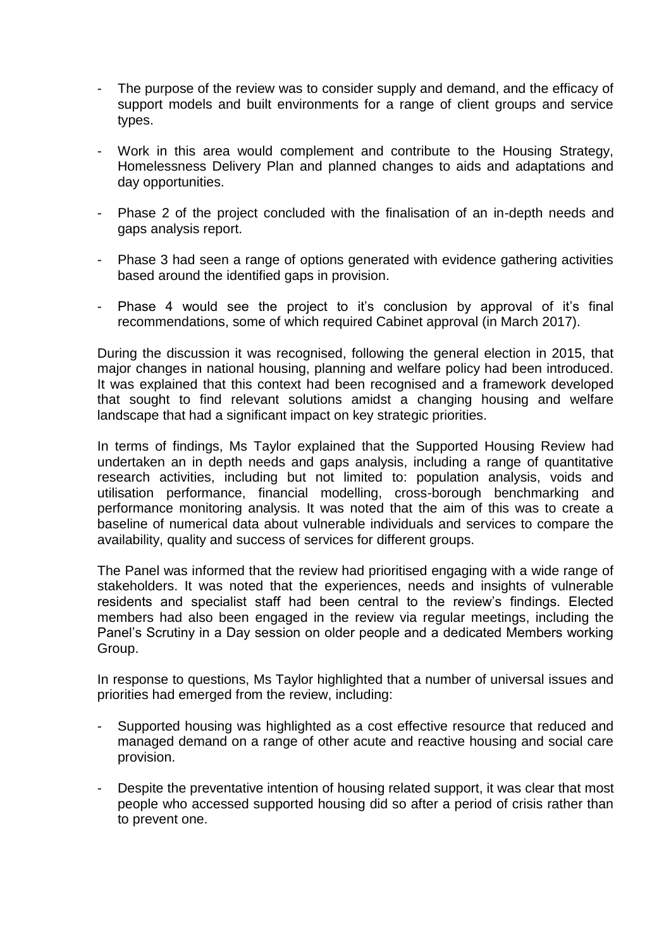- The purpose of the review was to consider supply and demand, and the efficacy of support models and built environments for a range of client groups and service types.
- Work in this area would complement and contribute to the Housing Strategy, Homelessness Delivery Plan and planned changes to aids and adaptations and day opportunities.
- Phase 2 of the project concluded with the finalisation of an in-depth needs and gaps analysis report.
- Phase 3 had seen a range of options generated with evidence gathering activities based around the identified gaps in provision.
- Phase 4 would see the project to it's conclusion by approval of it's final recommendations, some of which required Cabinet approval (in March 2017).

During the discussion it was recognised, following the general election in 2015, that major changes in national housing, planning and welfare policy had been introduced. It was explained that this context had been recognised and a framework developed that sought to find relevant solutions amidst a changing housing and welfare landscape that had a significant impact on key strategic priorities.

In terms of findings, Ms Taylor explained that the Supported Housing Review had undertaken an in depth needs and gaps analysis, including a range of quantitative research activities, including but not limited to: population analysis, voids and utilisation performance, financial modelling, cross-borough benchmarking and performance monitoring analysis. It was noted that the aim of this was to create a baseline of numerical data about vulnerable individuals and services to compare the availability, quality and success of services for different groups.

The Panel was informed that the review had prioritised engaging with a wide range of stakeholders. It was noted that the experiences, needs and insights of vulnerable residents and specialist staff had been central to the review's findings. Elected members had also been engaged in the review via regular meetings, including the Panel's Scrutiny in a Day session on older people and a dedicated Members working Group.

In response to questions, Ms Taylor highlighted that a number of universal issues and priorities had emerged from the review, including:

- Supported housing was highlighted as a cost effective resource that reduced and managed demand on a range of other acute and reactive housing and social care provision.
- Despite the preventative intention of housing related support, it was clear that most people who accessed supported housing did so after a period of crisis rather than to prevent one.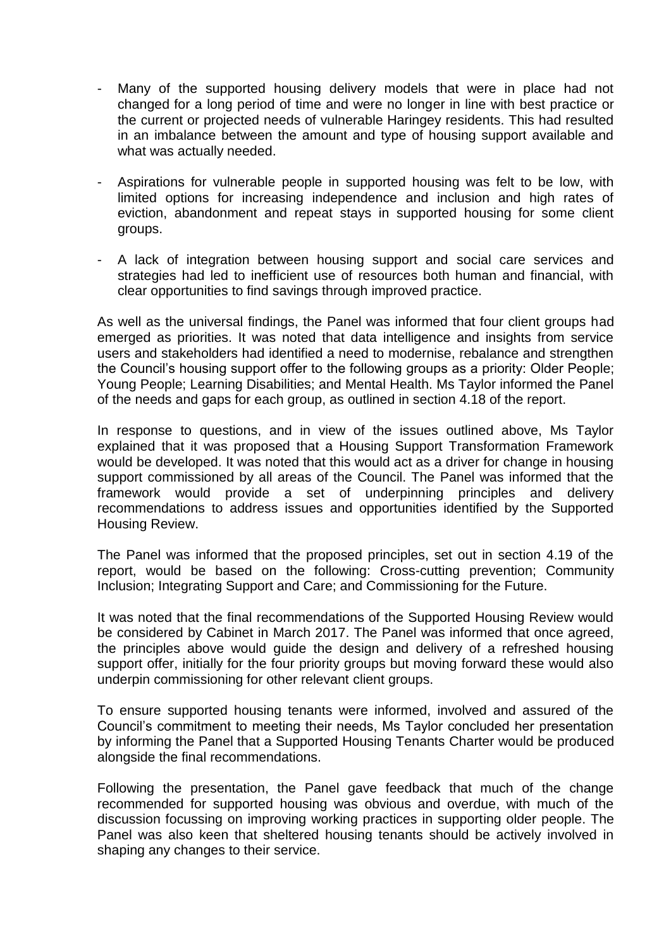- Many of the supported housing delivery models that were in place had not changed for a long period of time and were no longer in line with best practice or the current or projected needs of vulnerable Haringey residents. This had resulted in an imbalance between the amount and type of housing support available and what was actually needed.
- Aspirations for vulnerable people in supported housing was felt to be low, with limited options for increasing independence and inclusion and high rates of eviction, abandonment and repeat stays in supported housing for some client groups.
- A lack of integration between housing support and social care services and strategies had led to inefficient use of resources both human and financial, with clear opportunities to find savings through improved practice.

As well as the universal findings, the Panel was informed that four client groups had emerged as priorities. It was noted that data intelligence and insights from service users and stakeholders had identified a need to modernise, rebalance and strengthen the Council's housing support offer to the following groups as a priority: Older People; Young People; Learning Disabilities; and Mental Health. Ms Taylor informed the Panel of the needs and gaps for each group, as outlined in section 4.18 of the report.

In response to questions, and in view of the issues outlined above, Ms Taylor explained that it was proposed that a Housing Support Transformation Framework would be developed. It was noted that this would act as a driver for change in housing support commissioned by all areas of the Council. The Panel was informed that the framework would provide a set of underpinning principles and delivery recommendations to address issues and opportunities identified by the Supported Housing Review.

The Panel was informed that the proposed principles, set out in section 4.19 of the report, would be based on the following: Cross-cutting prevention; Community Inclusion; Integrating Support and Care; and Commissioning for the Future.

It was noted that the final recommendations of the Supported Housing Review would be considered by Cabinet in March 2017. The Panel was informed that once agreed, the principles above would guide the design and delivery of a refreshed housing support offer, initially for the four priority groups but moving forward these would also underpin commissioning for other relevant client groups.

To ensure supported housing tenants were informed, involved and assured of the Council's commitment to meeting their needs, Ms Taylor concluded her presentation by informing the Panel that a Supported Housing Tenants Charter would be produced alongside the final recommendations.

Following the presentation, the Panel gave feedback that much of the change recommended for supported housing was obvious and overdue, with much of the discussion focussing on improving working practices in supporting older people. The Panel was also keen that sheltered housing tenants should be actively involved in shaping any changes to their service.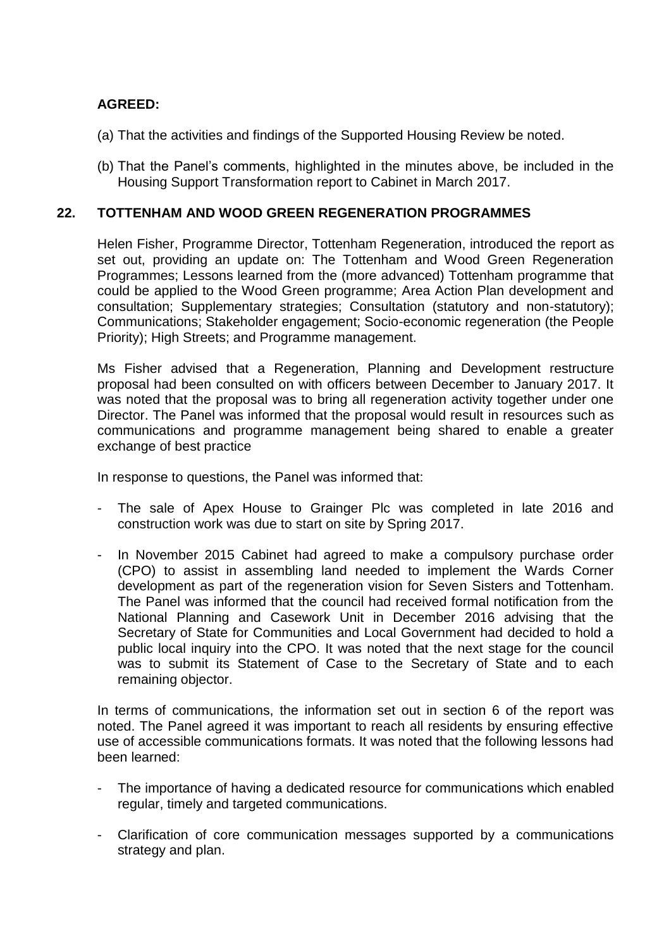## **AGREED:**

- (a) That the activities and findings of the Supported Housing Review be noted.
- (b) That the Panel's comments, highlighted in the minutes above, be included in the Housing Support Transformation report to Cabinet in March 2017.

### **22. TOTTENHAM AND WOOD GREEN REGENERATION PROGRAMMES**

Helen Fisher, Programme Director, Tottenham Regeneration, introduced the report as set out, providing an update on: The Tottenham and Wood Green Regeneration Programmes; Lessons learned from the (more advanced) Tottenham programme that could be applied to the Wood Green programme; Area Action Plan development and consultation; Supplementary strategies; Consultation (statutory and non-statutory); Communications; Stakeholder engagement; Socio-economic regeneration (the People Priority); High Streets; and Programme management.

Ms Fisher advised that a Regeneration, Planning and Development restructure proposal had been consulted on with officers between December to January 2017. It was noted that the proposal was to bring all regeneration activity together under one Director. The Panel was informed that the proposal would result in resources such as communications and programme management being shared to enable a greater exchange of best practice

In response to questions, the Panel was informed that:

- The sale of Apex House to Grainger Plc was completed in late 2016 and construction work was due to start on site by Spring 2017.
- In November 2015 Cabinet had agreed to make a compulsory purchase order (CPO) to assist in assembling land needed to implement the Wards Corner development as part of the regeneration vision for Seven Sisters and Tottenham. The Panel was informed that the council had received formal notification from the National Planning and Casework Unit in December 2016 advising that the Secretary of State for Communities and Local Government had decided to hold a public local inquiry into the CPO. It was noted that the next stage for the council was to submit its Statement of Case to the Secretary of State and to each remaining objector.

In terms of communications, the information set out in section 6 of the report was noted. The Panel agreed it was important to reach all residents by ensuring effective use of accessible communications formats. It was noted that the following lessons had been learned:

- The importance of having a dedicated resource for communications which enabled regular, timely and targeted communications.
- Clarification of core communication messages supported by a communications strategy and plan.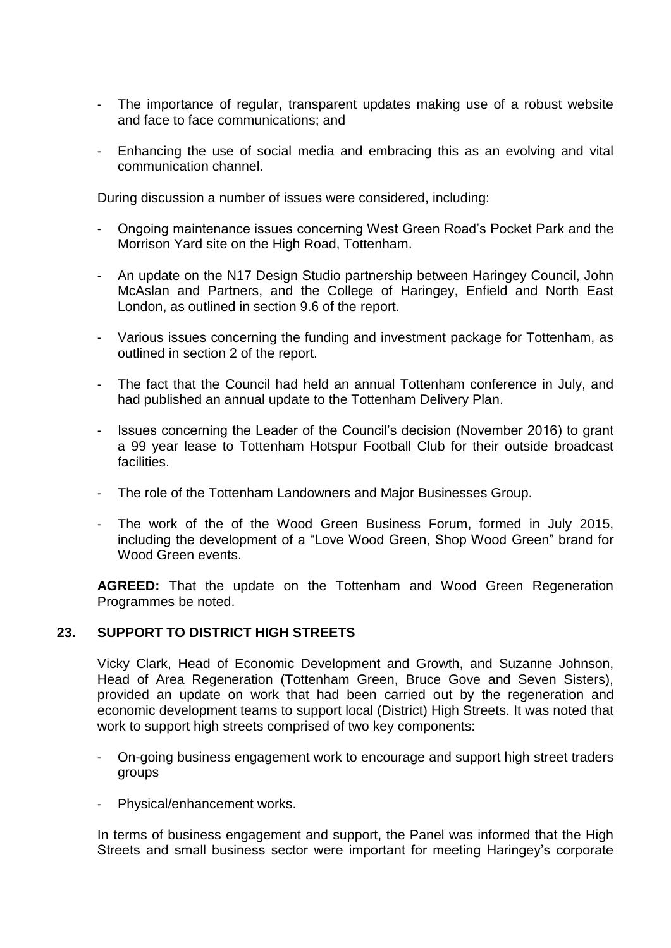- The importance of regular, transparent updates making use of a robust website and face to face communications; and
- Enhancing the use of social media and embracing this as an evolving and vital communication channel.

During discussion a number of issues were considered, including:

- Ongoing maintenance issues concerning West Green Road's Pocket Park and the Morrison Yard site on the High Road, Tottenham.
- An update on the N17 Design Studio partnership between Haringey Council, John McAslan and Partners, and the College of Haringey, Enfield and North East London, as outlined in section 9.6 of the report.
- Various issues concerning the funding and investment package for Tottenham, as outlined in section 2 of the report.
- The fact that the Council had held an annual Tottenham conference in July, and had published an annual update to the Tottenham Delivery Plan.
- Issues concerning the Leader of the Council's decision (November 2016) to grant a 99 year lease to Tottenham Hotspur Football Club for their outside broadcast facilities.
- The role of the Tottenham Landowners and Major Businesses Group.
- The work of the of the Wood Green Business Forum, formed in July 2015, including the development of a "Love Wood Green, Shop Wood Green" brand for Wood Green events.

**AGREED:** That the update on the Tottenham and Wood Green Regeneration Programmes be noted.

### **23. SUPPORT TO DISTRICT HIGH STREETS**

Vicky Clark, Head of Economic Development and Growth, and Suzanne Johnson, Head of Area Regeneration (Tottenham Green, Bruce Gove and Seven Sisters), provided an update on work that had been carried out by the regeneration and economic development teams to support local (District) High Streets. It was noted that work to support high streets comprised of two key components:

- On-going business engagement work to encourage and support high street traders groups
- Physical/enhancement works.

In terms of business engagement and support, the Panel was informed that the High Streets and small business sector were important for meeting Haringey's corporate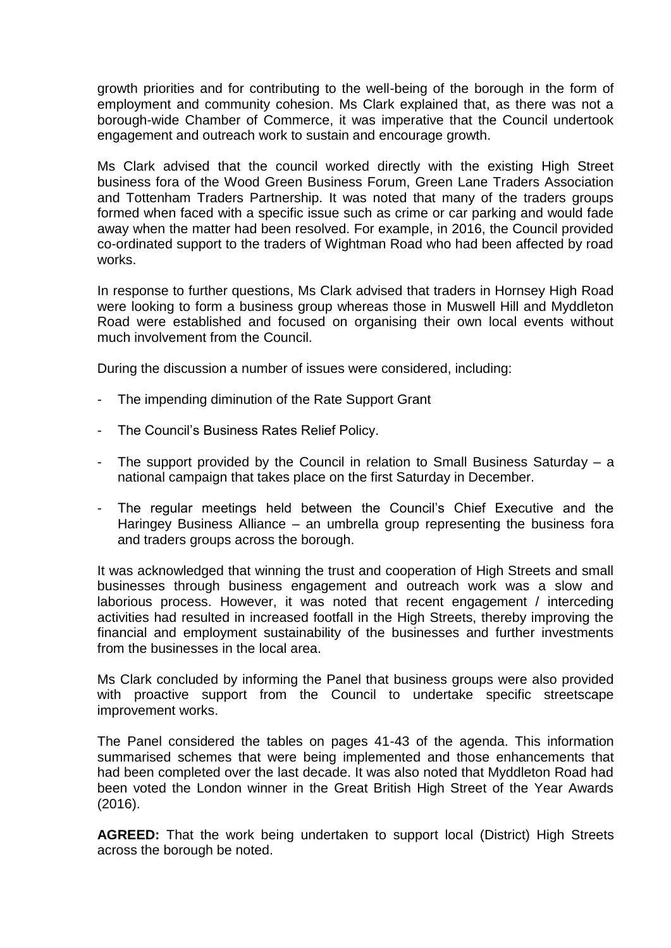growth priorities and for contributing to the well-being of the borough in the form of employment and community cohesion. Ms Clark explained that, as there was not a borough-wide Chamber of Commerce, it was imperative that the Council undertook engagement and outreach work to sustain and encourage growth.

Ms Clark advised that the council worked directly with the existing High Street business fora of the Wood Green Business Forum, Green Lane Traders Association and Tottenham Traders Partnership. It was noted that many of the traders groups formed when faced with a specific issue such as crime or car parking and would fade away when the matter had been resolved. For example, in 2016, the Council provided co-ordinated support to the traders of Wightman Road who had been affected by road works.

In response to further questions, Ms Clark advised that traders in Hornsey High Road were looking to form a business group whereas those in Muswell Hill and Myddleton Road were established and focused on organising their own local events without much involvement from the Council.

During the discussion a number of issues were considered, including:

- The impending diminution of the Rate Support Grant
- The Council's Business Rates Relief Policy.
- The support provided by the Council in relation to Small Business Saturday a national campaign that takes place on the first Saturday in December.
- The regular meetings held between the Council's Chief Executive and the Haringey Business Alliance – an umbrella group representing the business fora and traders groups across the borough.

It was acknowledged that winning the trust and cooperation of High Streets and small businesses through business engagement and outreach work was a slow and laborious process. However, it was noted that recent engagement / interceding activities had resulted in increased footfall in the High Streets, thereby improving the financial and employment sustainability of the businesses and further investments from the businesses in the local area.

Ms Clark concluded by informing the Panel that business groups were also provided with proactive support from the Council to undertake specific streetscape improvement works.

The Panel considered the tables on pages 41-43 of the agenda. This information summarised schemes that were being implemented and those enhancements that had been completed over the last decade. It was also noted that Myddleton Road had been voted the London winner in the Great British High Street of the Year Awards (2016).

**AGREED:** That the work being undertaken to support local (District) High Streets across the borough be noted.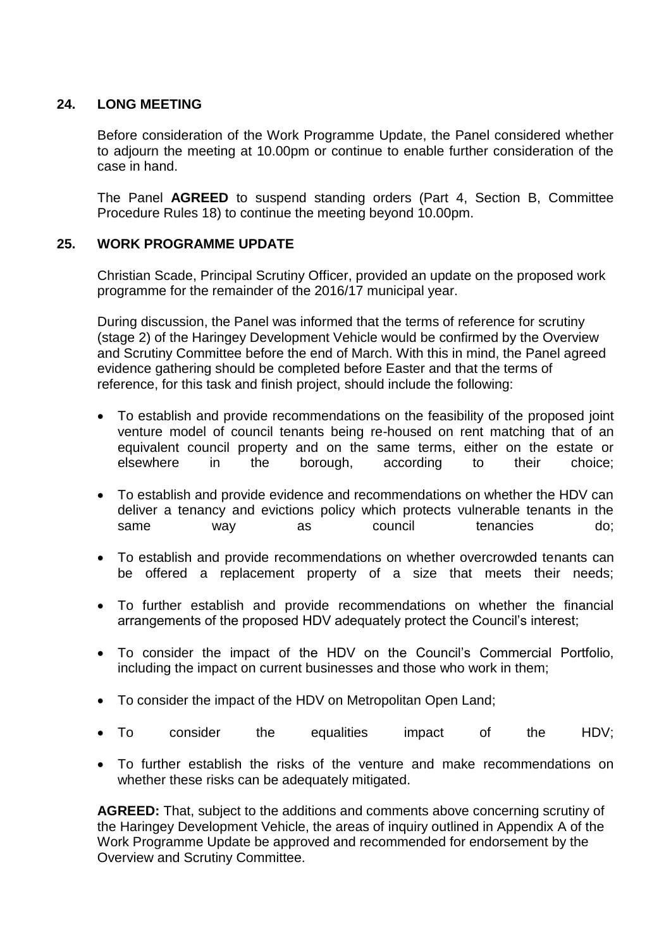### **24. LONG MEETING**

Before consideration of the Work Programme Update, the Panel considered whether to adjourn the meeting at 10.00pm or continue to enable further consideration of the case in hand.

The Panel **AGREED** to suspend standing orders (Part 4, Section B, Committee Procedure Rules 18) to continue the meeting beyond 10.00pm.

## **25. WORK PROGRAMME UPDATE**

Christian Scade, Principal Scrutiny Officer, provided an update on the proposed work programme for the remainder of the 2016/17 municipal year.

During discussion, the Panel was informed that the terms of reference for scrutiny (stage 2) of the Haringey Development Vehicle would be confirmed by the Overview and Scrutiny Committee before the end of March. With this in mind, the Panel agreed evidence gathering should be completed before Easter and that the terms of reference, for this task and finish project, should include the following:

- To establish and provide recommendations on the feasibility of the proposed joint venture model of council tenants being re-housed on rent matching that of an equivalent council property and on the same terms, either on the estate or elsewhere in the borough, according to their choice;
- To establish and provide evidence and recommendations on whether the HDV can deliver a tenancy and evictions policy which protects vulnerable tenants in the same way as council tenancies do;
- To establish and provide recommendations on whether overcrowded tenants can be offered a replacement property of a size that meets their needs;
- To further establish and provide recommendations on whether the financial arrangements of the proposed HDV adequately protect the Council's interest;
- To consider the impact of the HDV on the Council's Commercial Portfolio, including the impact on current businesses and those who work in them;
- To consider the impact of the HDV on Metropolitan Open Land;
- To consider the equalities impact of the HDV;
- To further establish the risks of the venture and make recommendations on whether these risks can be adequately mitigated.

**AGREED:** That, subject to the additions and comments above concerning scrutiny of the Haringey Development Vehicle, the areas of inquiry outlined in Appendix A of the Work Programme Update be approved and recommended for endorsement by the Overview and Scrutiny Committee.